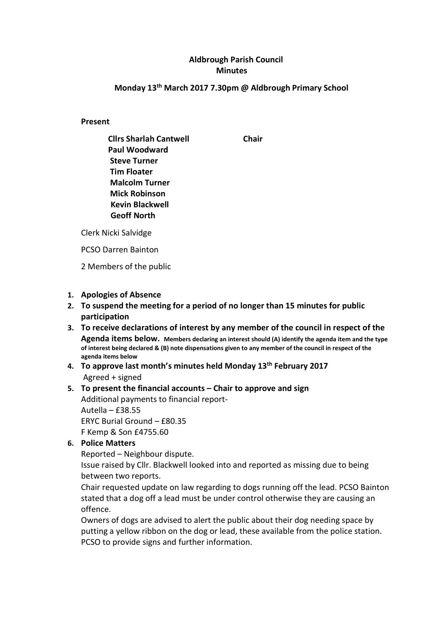# Aldbrough Parish Council **Minutes**

### Monday 13th March 2017 7.30pm @ Aldbrough Primary School

Present

Cllrs Sharlah Cantwell Chair Paul Woodward Steve Turner Tim Floater Malcolm Turner Mick Robinson Kevin Blackwell Geoff North

Clerk Nicki Salvidge

PCSO Darren Bainton

2 Members of the public

#### 1. Apologies of Absence

- 2. To suspend the meeting for a period of no longer than 15 minutes for public participation
- 3. To receive declarations of interest by any member of the council in respect of the Agenda items below. Members declaring an interest should (A) identify the agenda item and the type of interest being declared & (B) note dispensations given to any member of the council in respect of the agenda items below
- 4. To approve last month's minutes held Monday 13<sup>th</sup> February 2017 Agreed + signed

#### 5. To present the financial accounts – Chair to approve and sign Additional payments to financial report-

Autella – £38.55 ERYC Burial Ground – £80.35 F Kemp & Son £4755.60

## 6. Police Matters

Reported – Neighbour dispute.

Issue raised by Cllr. Blackwell looked into and reported as missing due to being between two reports.

Chair requested update on law regarding to dogs running off the lead. PCSO Bainton stated that a dog off a lead must be under control otherwise they are causing an offence.

Owners of dogs are advised to alert the public about their dog needing space by putting a yellow ribbon on the dog or lead, these available from the police station. PCSO to provide signs and further information.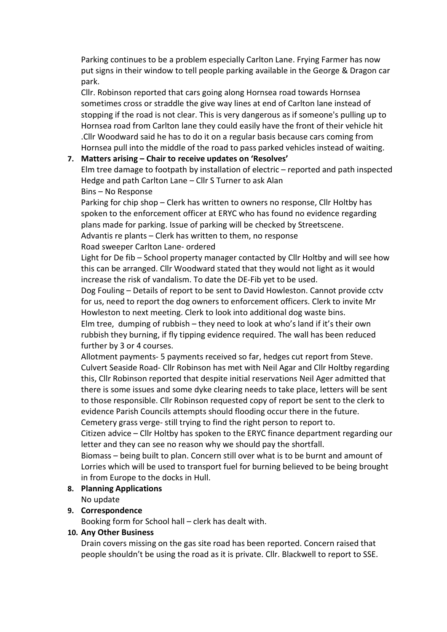Parking continues to be a problem especially Carlton Lane. Frying Farmer has now put signs in their window to tell people parking available in the George & Dragon car park.

Cllr. Robinson reported that cars going along Hornsea road towards Hornsea sometimes cross or straddle the give way lines at end of Carlton lane instead of stopping if the road is not clear. This is very dangerous as if someone's pulling up to Hornsea road from Carlton lane they could easily have the front of their vehicle hit .Cllr Woodward said he has to do it on a regular basis because cars coming from Hornsea pull into the middle of the road to pass parked vehicles instead of waiting.

## 7. Matters arising – Chair to receive updates on 'Resolves'

Elm tree damage to footpath by installation of electric – reported and path inspected Hedge and path Carlton Lane – Cllr S Turner to ask Alan

Bins – No Response

Parking for chip shop – Clerk has written to owners no response, Cllr Holtby has spoken to the enforcement officer at ERYC who has found no evidence regarding plans made for parking. Issue of parking will be checked by Streetscene. Advantis re plants – Clerk has written to them, no response

#### Road sweeper Carlton Lane- ordered

Light for De fib – School property manager contacted by Cllr Holtby and will see how this can be arranged. Cllr Woodward stated that they would not light as it would increase the risk of vandalism. To date the DE-Fib yet to be used.

Dog Fouling – Details of report to be sent to David Howleston. Cannot provide cctv for us, need to report the dog owners to enforcement officers. Clerk to invite Mr Howleston to next meeting. Clerk to look into additional dog waste bins.

Elm tree, dumping of rubbish – they need to look at who's land if it's their own rubbish they burning, if fly tipping evidence required. The wall has been reduced further by 3 or 4 courses.

Allotment payments- 5 payments received so far, hedges cut report from Steve. Culvert Seaside Road- Cllr Robinson has met with Neil Agar and Cllr Holtby regarding this, Cllr Robinson reported that despite initial reservations Neil Ager admitted that there is some issues and some dyke clearing needs to take place, letters will be sent to those responsible. Cllr Robinson requested copy of report be sent to the clerk to evidence Parish Councils attempts should flooding occur there in the future. Cemetery grass verge- still trying to find the right person to report to.

Citizen advice – Cllr Holtby has spoken to the ERYC finance department regarding our letter and they can see no reason why we should pay the shortfall.

Biomass – being built to plan. Concern still over what is to be burnt and amount of Lorries which will be used to transport fuel for burning believed to be being brought in from Europe to the docks in Hull.

## 8. Planning Applications

No update

## 9. Correspondence

Booking form for School hall – clerk has dealt with.

#### 10. Any Other Business

Drain covers missing on the gas site road has been reported. Concern raised that people shouldn't be using the road as it is private. Cllr. Blackwell to report to SSE.